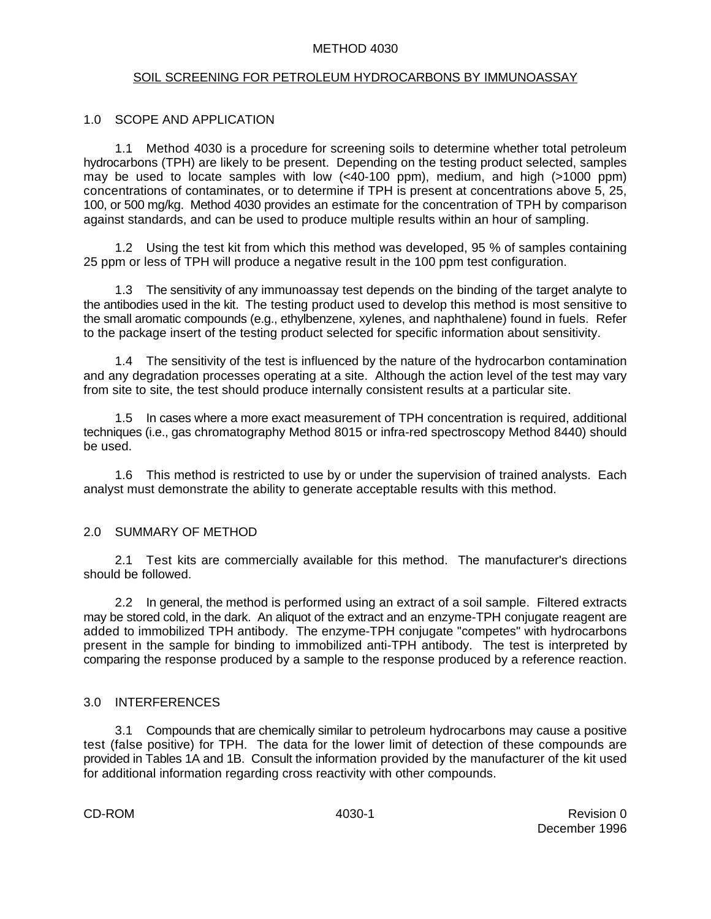#### METHOD 4030

#### SOIL SCREENING FOR PETROLEUM HYDROCARBONS BY IMMUNOASSAY

#### 1.0 SCOPE AND APPLICATION

1.1 Method 4030 is a procedure for screening soils to determine whether total petroleum hydrocarbons (TPH) are likely to be present. Depending on the testing product selected, samples may be used to locate samples with low  $( $40-100$  ppm), medium, and high  $(>1000$  ppm)$ concentrations of contaminates, or to determine if TPH is present at concentrations above 5, 25, 100, or 500 mg/kg. Method 4030 provides an estimate for the concentration of TPH by comparison against standards, and can be used to produce multiple results within an hour of sampling.

1.2 Using the test kit from which this method was developed, 95 % of samples containing 25 ppm or less of TPH will produce a negative result in the 100 ppm test configuration.

1.3 The sensitivity of any immunoassay test depends on the binding of the target analyte to the antibodies used in the kit. The testing product used to develop this method is most sensitive to the small aromatic compounds (e.g., ethylbenzene, xylenes, and naphthalene) found in fuels. Refer to the package insert of the testing product selected for specific information about sensitivity.

1.4 The sensitivity of the test is influenced by the nature of the hydrocarbon contamination and any degradation processes operating at a site. Although the action level of the test may vary from site to site, the test should produce internally consistent results at a particular site.

1.5 In cases where a more exact measurement of TPH concentration is required, additional techniques (i.e., gas chromatography Method 8015 or infra-red spectroscopy Method 8440) should be used.

1.6 This method is restricted to use by or under the supervision of trained analysts. Each analyst must demonstrate the ability to generate acceptable results with this method.

#### 2.0 SUMMARY OF METHOD

2.1 Test kits are commercially available for this method. The manufacturer's directions should be followed.

2.2 In general, the method is performed using an extract of a soil sample. Filtered extracts may be stored cold, in the dark. An aliquot of the extract and an enzyme-TPH conjugate reagent are added to immobilized TPH antibody. The enzyme-TPH conjugate "competes" with hydrocarbons present in the sample for binding to immobilized anti-TPH antibody. The test is interpreted by comparing the response produced by a sample to the response produced by a reference reaction.

#### 3.0 INTERFERENCES

3.1 Compounds that are chemically similar to petroleum hydrocarbons may cause a positive test (false positive) for TPH. The data for the lower limit of detection of these compounds are provided in Tables 1A and 1B. Consult the information provided by the manufacturer of the kit used for additional information regarding cross reactivity with other compounds.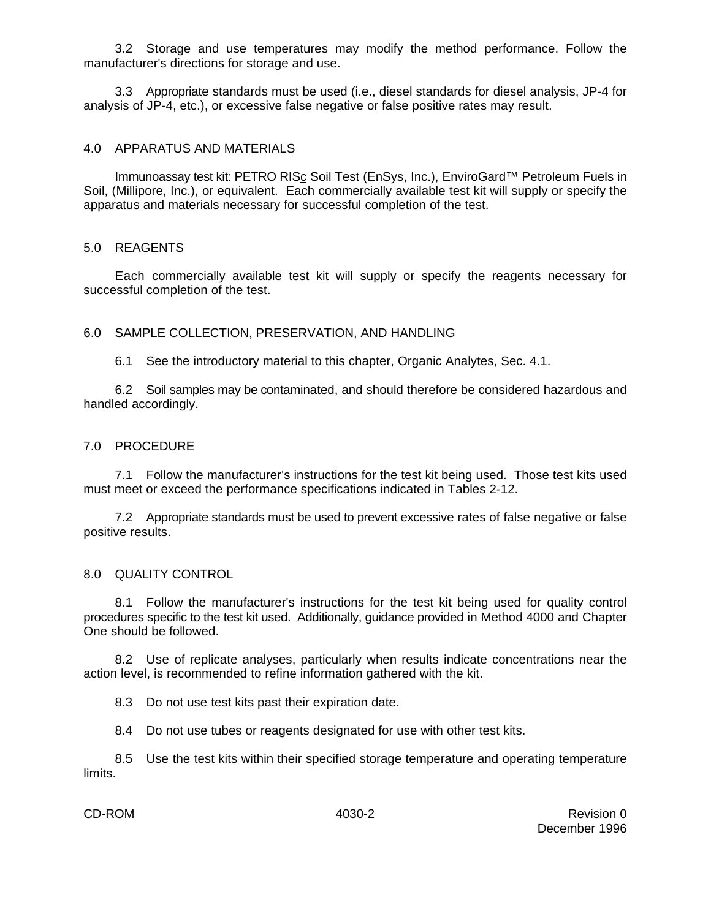3.2 Storage and use temperatures may modify the method performance. Follow the manufacturer's directions for storage and use.

3.3 Appropriate standards must be used (i.e., diesel standards for diesel analysis, JP-4 for analysis of JP-4, etc.), or excessive false negative or false positive rates may result.

#### 4.0 APPARATUS AND MATERIALS

Immunoassay test kit: PETRO RISc Soil Test (EnSys, Inc.), EnviroGard™ Petroleum Fuels in Soil, (Millipore, Inc.), or equivalent. Each commercially available test kit will supply or specify the apparatus and materials necessary for successful completion of the test.

#### 5.0 REAGENTS

Each commercially available test kit will supply or specify the reagents necessary for successful completion of the test.

6.0 SAMPLE COLLECTION, PRESERVATION, AND HANDLING

6.1 See the introductory material to this chapter, Organic Analytes, Sec. 4.1.

6.2 Soil samples may be contaminated, and should therefore be considered hazardous and handled accordingly.

#### 7.0 PROCEDURE

7.1 Follow the manufacturer's instructions for the test kit being used. Those test kits used must meet or exceed the performance specifications indicated in Tables 2-12.

7.2 Appropriate standards must be used to prevent excessive rates of false negative or false positive results.

#### 8.0 QUALITY CONTROL

8.1 Follow the manufacturer's instructions for the test kit being used for quality control procedures specific to the test kit used. Additionally, guidance provided in Method 4000 and Chapter One should be followed.

8.2 Use of replicate analyses, particularly when results indicate concentrations near the action level, is recommended to refine information gathered with the kit.

8.3 Do not use test kits past their expiration date.

8.4 Do not use tubes or reagents designated for use with other test kits.

8.5 Use the test kits within their specified storage temperature and operating temperature limits.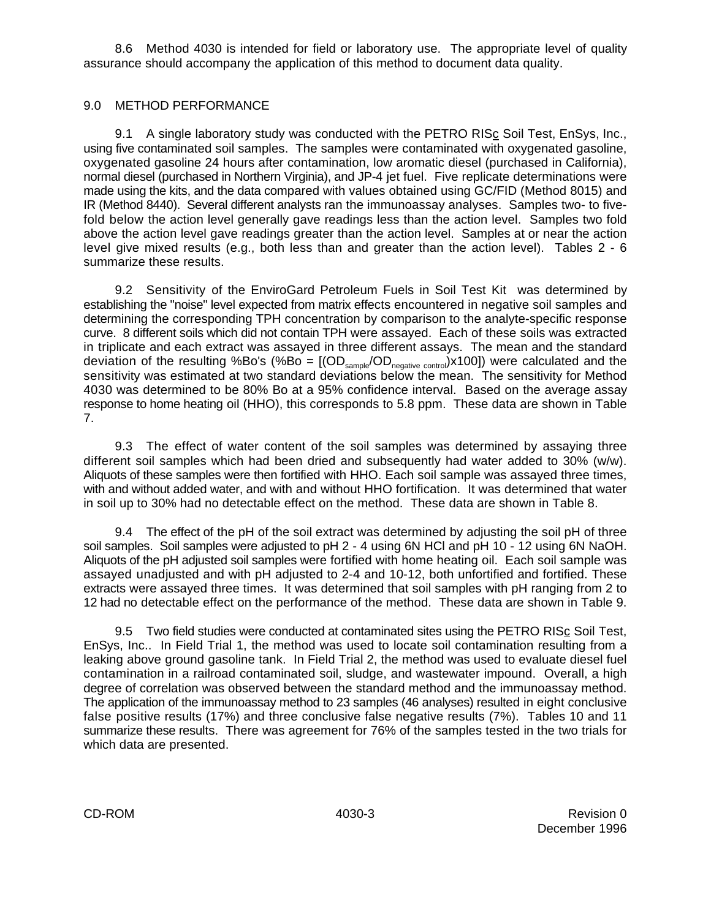8.6 Method 4030 is intended for field or laboratory use. The appropriate level of quality assurance should accompany the application of this method to document data quality.

## 9.0 METHOD PERFORMANCE

9.1 A single laboratory study was conducted with the PETRO RISc Soil Test, EnSys, Inc., using five contaminated soil samples. The samples were contaminated with oxygenated gasoline, oxygenated gasoline 24 hours after contamination, low aromatic diesel (purchased in California), normal diesel (purchased in Northern Virginia), and JP-4 jet fuel. Five replicate determinations were made using the kits, and the data compared with values obtained using GC/FID (Method 8015) and IR (Method 8440). Several different analysts ran the immunoassay analyses. Samples two- to fivefold below the action level generally gave readings less than the action level. Samples two fold above the action level gave readings greater than the action level. Samples at or near the action level give mixed results (e.g., both less than and greater than the action level). Tables 2 - 6 summarize these results.

9.2 Sensitivity of the EnviroGard Petroleum Fuels in Soil Test Kit was determined by establishing the "noise" level expected from matrix effects encountered in negative soil samples and determining the corresponding TPH concentration by comparison to the analyte-specific response curve. 8 different soils which did not contain TPH were assayed. Each of these soils was extracted in triplicate and each extract was assayed in three different assays. The mean and the standard deviation of the resulting %Bo's (%Bo =  $[(OD_{\text{sample}}/OD_{\text{negative control}}) \times 100]$ ) were calculated and the sensitivity was estimated at two standard deviations below the mean. The sensitivity for Method 4030 was determined to be 80% Bo at a 95% confidence interval. Based on the average assay response to home heating oil (HHO), this corresponds to 5.8 ppm. These data are shown in Table 7.

9.3 The effect of water content of the soil samples was determined by assaying three different soil samples which had been dried and subsequently had water added to 30% (w/w). Aliquots of these samples were then fortified with HHO. Each soil sample was assayed three times, with and without added water, and with and without HHO fortification. It was determined that water in soil up to 30% had no detectable effect on the method. These data are shown in Table 8.

9.4 The effect of the pH of the soil extract was determined by adjusting the soil pH of three soil samples. Soil samples were adjusted to pH 2 - 4 using 6N HCl and pH 10 - 12 using 6N NaOH. Aliquots of the pH adjusted soil samples were fortified with home heating oil. Each soil sample was assayed unadjusted and with pH adjusted to 2-4 and 10-12, both unfortified and fortified. These extracts were assayed three times. It was determined that soil samples with pH ranging from 2 to 12 had no detectable effect on the performance of the method. These data are shown in Table 9.

9.5 Two field studies were conducted at contaminated sites using the PETRO RISc Soil Test, EnSys, Inc.. In Field Trial 1, the method was used to locate soil contamination resulting from a leaking above ground gasoline tank. In Field Trial 2, the method was used to evaluate diesel fuel contamination in a railroad contaminated soil, sludge, and wastewater impound. Overall, a high degree of correlation was observed between the standard method and the immunoassay method. The application of the immunoassay method to 23 samples (46 analyses) resulted in eight conclusive false positive results (17%) and three conclusive false negative results (7%). Tables 10 and 11 summarize these results. There was agreement for 76% of the samples tested in the two trials for which data are presented.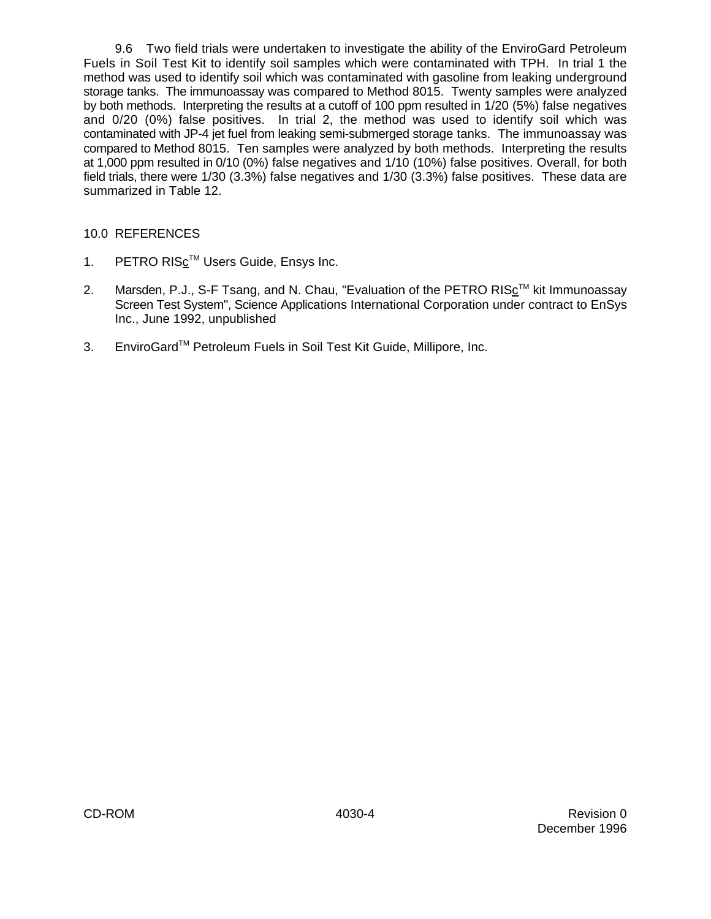9.6 Two field trials were undertaken to investigate the ability of the EnviroGard Petroleum Fuels in Soil Test Kit to identify soil samples which were contaminated with TPH. In trial 1 the method was used to identify soil which was contaminated with gasoline from leaking underground storage tanks. The immunoassay was compared to Method 8015. Twenty samples were analyzed by both methods. Interpreting the results at a cutoff of 100 ppm resulted in 1/20 (5%) false negatives and 0/20 (0%) false positives. In trial 2, the method was used to identify soil which was contaminated with JP-4 jet fuel from leaking semi-submerged storage tanks. The immunoassay was compared to Method 8015. Ten samples were analyzed by both methods. Interpreting the results at 1,000 ppm resulted in 0/10 (0%) false negatives and 1/10 (10%) false positives. Overall, for both field trials, there were 1/30 (3.3%) false negatives and 1/30 (3.3%) false positives. These data are summarized in Table 12.

## 10.0 REFERENCES

- 1. PETRO RIS $c^{TM}$  Users Guide, Ensys Inc.
- 2. Marsden, P.J., S-F Tsang, and N. Chau, "Evaluation of the PETRO RIS⊆<sup>™</sup> kit Immunoassay Screen Test System", Science Applications International Corporation under contract to EnSys Inc., June 1992, unpublished
- 3. EnviroGard<sup>™</sup> Petroleum Fuels in Soil Test Kit Guide, Millipore, Inc.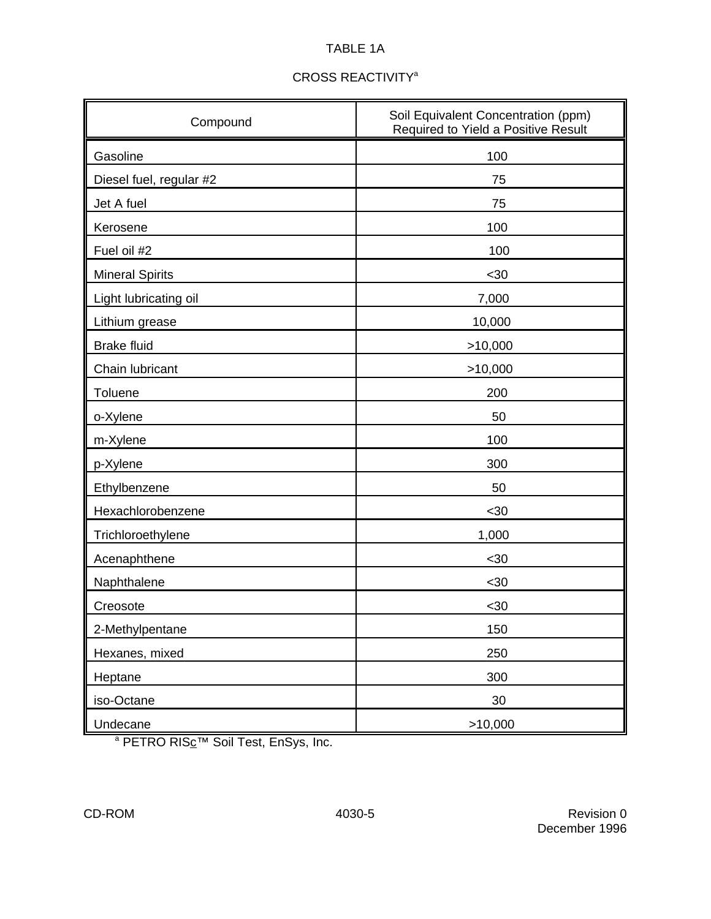# TABLE 1A

| Compound                | Soil Equivalent Concentration (ppm)<br>Required to Yield a Positive Result |  |  |  |
|-------------------------|----------------------------------------------------------------------------|--|--|--|
| Gasoline                | 100                                                                        |  |  |  |
| Diesel fuel, regular #2 | 75                                                                         |  |  |  |
| Jet A fuel              | 75                                                                         |  |  |  |
| Kerosene                | 100                                                                        |  |  |  |
| Fuel oil #2             | 100                                                                        |  |  |  |
| <b>Mineral Spirits</b>  | $30$                                                                       |  |  |  |
| Light lubricating oil   | 7,000                                                                      |  |  |  |
| Lithium grease          | 10,000                                                                     |  |  |  |
| <b>Brake fluid</b>      | >10,000                                                                    |  |  |  |
| Chain lubricant         | >10,000                                                                    |  |  |  |
| Toluene                 | 200                                                                        |  |  |  |
| o-Xylene                | 50                                                                         |  |  |  |
| m-Xylene                | 100                                                                        |  |  |  |
| p-Xylene                | 300                                                                        |  |  |  |
| Ethylbenzene            | 50                                                                         |  |  |  |
| Hexachlorobenzene       | $30$                                                                       |  |  |  |
| Trichloroethylene       | 1,000                                                                      |  |  |  |
| Acenaphthene            | $30$                                                                       |  |  |  |
| Naphthalene             | $30$                                                                       |  |  |  |
| Creosote                | <30                                                                        |  |  |  |
| 2-Methylpentane         | 150                                                                        |  |  |  |
| Hexanes, mixed          | 250                                                                        |  |  |  |
| Heptane                 | 300                                                                        |  |  |  |
| iso-Octane              | 30                                                                         |  |  |  |
| Undecane                | >10,000                                                                    |  |  |  |

a PETRO RIS<sub>C</sub>™ Soil Test, EnSys, Inc.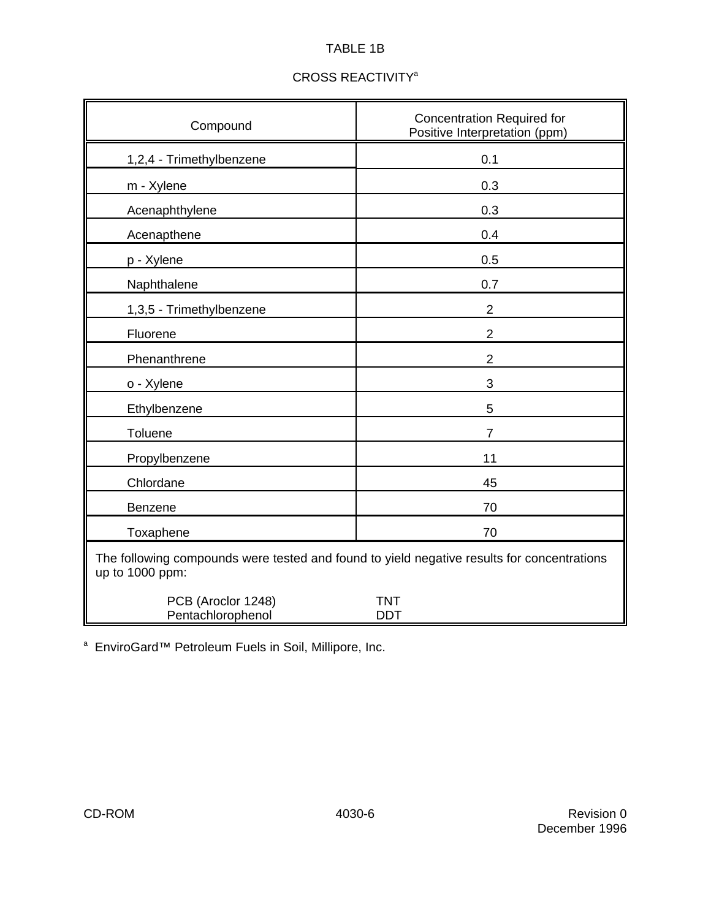# TABLE 1B

| Compound                                                                                                      | <b>Concentration Required for</b><br>Positive Interpretation (ppm) |
|---------------------------------------------------------------------------------------------------------------|--------------------------------------------------------------------|
| 1,2,4 - Trimethylbenzene                                                                                      | 0.1                                                                |
| m - Xylene                                                                                                    | 0.3                                                                |
| Acenaphthylene                                                                                                | 0.3                                                                |
| Acenapthene                                                                                                   | 0.4                                                                |
| p - Xylene                                                                                                    | 0.5                                                                |
| Naphthalene                                                                                                   | 0.7                                                                |
| 1,3,5 - Trimethylbenzene                                                                                      | $\overline{2}$                                                     |
| Fluorene                                                                                                      | $\overline{2}$                                                     |
| Phenanthrene                                                                                                  | $\overline{2}$                                                     |
| o - Xylene                                                                                                    | 3                                                                  |
| Ethylbenzene                                                                                                  | 5                                                                  |
| Toluene                                                                                                       | $\overline{7}$                                                     |
| Propylbenzene                                                                                                 | 11                                                                 |
| Chlordane                                                                                                     | 45                                                                 |
| Benzene                                                                                                       | 70                                                                 |
| Toxaphene                                                                                                     | 70                                                                 |
| The following compounds were tested and found to yield negative results for concentrations<br>up to 1000 ppm: |                                                                    |
| PCB (Aroclor 1248)<br>Pentachlorophenol                                                                       | <b>TNT</b><br><b>DDT</b>                                           |

## CROSS REACTIVITY<sup>a</sup>

<sup>a</sup> EnviroGard™ Petroleum Fuels in Soil, Millipore, Inc.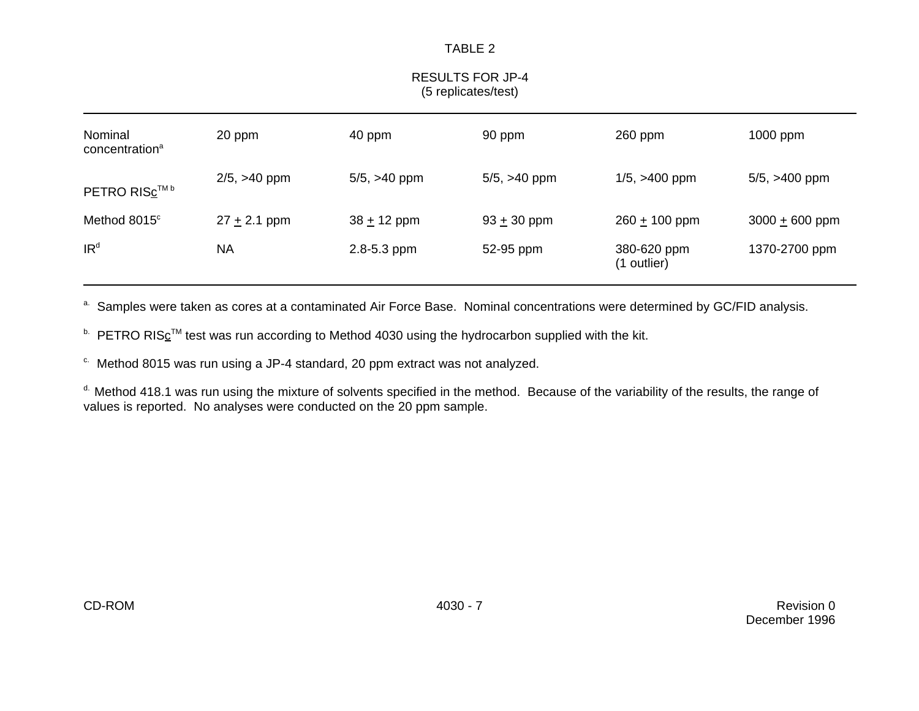## RESULTS FOR JP-4 (5 replicates/test)

| Nominal<br>concentration <sup>a</sup> | 20 ppm            |                   | 90 ppm            | $260$ ppm                  | 1000 ppm           |  |
|---------------------------------------|-------------------|-------------------|-------------------|----------------------------|--------------------|--|
| PETRO RISc™ <sup>b</sup>              | $2/5$ , $>40$ ppm | $5/5$ , $>40$ ppm | $5/5$ , $>40$ ppm | $1/5$ , $>400$ ppm         | $5/5$ , $>400$ ppm |  |
| Method 8015°                          | $27 + 2.1$ ppm    | $38 + 12$ ppm     | $93 + 30$ ppm     | $260 + 100$ ppm            | $3000 + 600$ ppm   |  |
| IR <sup>d</sup>                       | <b>NA</b>         | 2.8-5.3 ppm       | 52-95 ppm         | 380-620 ppm<br>(1 outlier) | 1370-2700 ppm      |  |

<sup>a.</sup> Samples were taken as cores at a contaminated Air Force Base. Nominal concentrations were determined by GC/FID analysis.

 $b$  PETRO RIS<sub>C</sub><sup>TM</sup> test was run according to Method 4030 using the hydrocarbon supplied with the kit.

 $\degree$  Method 8015 was run using a JP-4 standard, 20 ppm extract was not analyzed.

<sup>d.</sup> Method 418.1 was run using the mixture of solvents specified in the method. Because of the variability of the results, the range of values is reported. No analyses were conducted on the 20 ppm sample.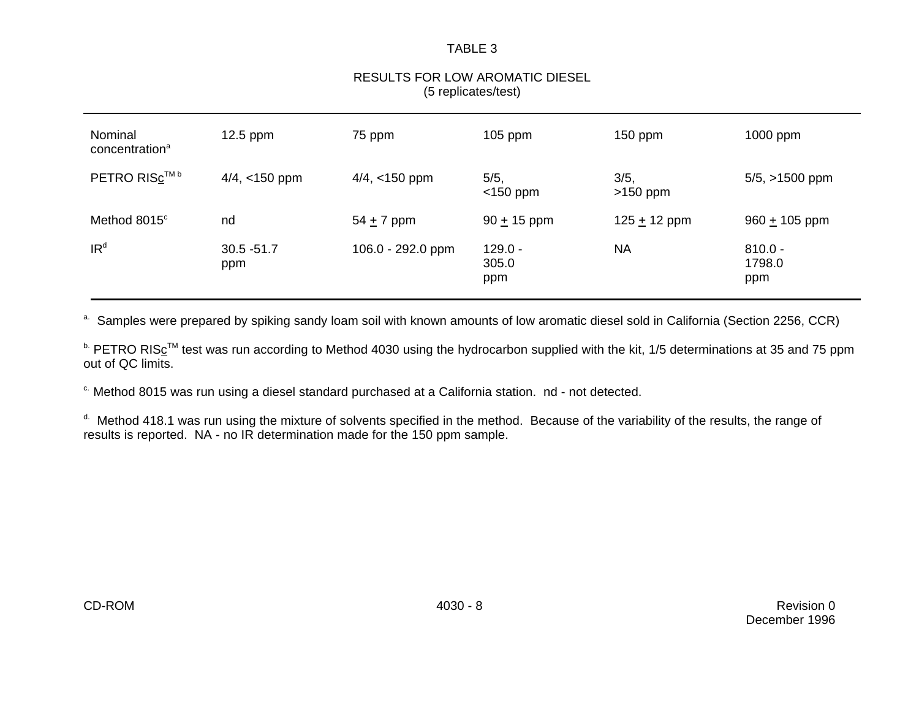## RESULTS FOR LOW AROMATIC DIESEL (5 replicates/test)

| Nominal<br>concentration <sup>a</sup> | $12.5$ ppm           | 75 ppm            | $105$ ppm                 | 150 ppm            | $1000$ ppm                 |
|---------------------------------------|----------------------|-------------------|---------------------------|--------------------|----------------------------|
| PETRO RIS <sub>c™</sub>               | $4/4$ , <150 ppm     | $4/4$ , <150 ppm  | 5/5,<br>$<$ 150 ppm       | 3/5,<br>$>150$ ppm | $5/5$ , $>1500$ ppm        |
| Method 8015°                          | nd                   | $54 + 7$ ppm      | $90 + 15$ ppm             | 125 $\pm$ 12 ppm   | $960 + 105$ ppm            |
| IR <sup>d</sup>                       | $30.5 - 51.7$<br>ppm | 106.0 - 292.0 ppm | $129.0 -$<br>305.0<br>ppm | <b>NA</b>          | $810.0 -$<br>1798.0<br>ppm |

a. Samples were prepared by spiking sandy loam soil with known amounts of low aromatic diesel sold in California (Section 2256, CCR)

**b.** PETRO RIS<sub>C</sub><sup>TM</sup> test was run according to Method 4030 using the hydrocarbon supplied with the kit, 1/5 determinations at 35 and 75 ppm out of QC limits.

<sup>c.</sup> Method 8015 was run using a diesel standard purchased at a California station. nd - not detected.

<sup>d.</sup> Method 418.1 was run using the mixture of solvents specified in the method. Because of the variability of the results, the range of results is reported. NA - no IR determination made for the 150 ppm sample.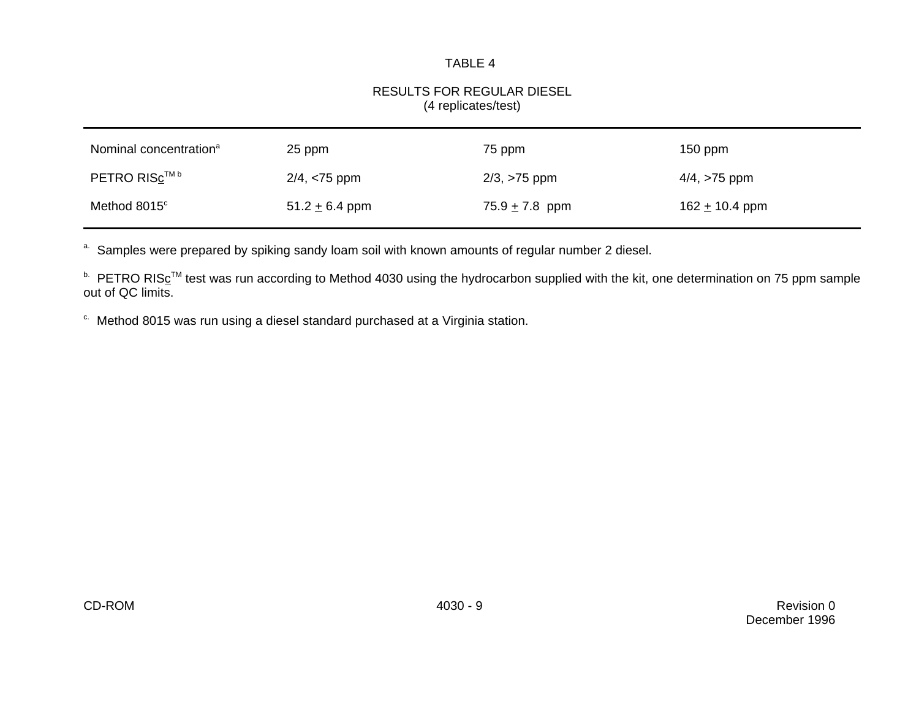## RESULTS FOR REGULAR DIESEL (4 replicates/test)

| Nominal concentration <sup>a</sup> | 25 ppm             | 75 ppm             | $150$ ppm          |
|------------------------------------|--------------------|--------------------|--------------------|
| PETRO RISc™ <sup>b</sup>           | $2/4, < 75$ ppm    | $2/3, >75$ ppm     | $4/4$ , $>75$ ppm  |
| Method 8015°                       | 51.2 $\pm$ 6.4 ppm | 75.9 $\pm$ 7.8 ppm | 162 $\pm$ 10.4 ppm |

a. Samples were prepared by spiking sandy loam soil with known amounts of regular number 2 diesel.

<sup>b.</sup> PETRO RIS<sub>C</sub>™ test was run according to Method 4030 using the hydrocarbon supplied with the kit, one determination on 75 ppm sample out of QC limits.

 $\degree$  Method 8015 was run using a diesel standard purchased at a Virginia station.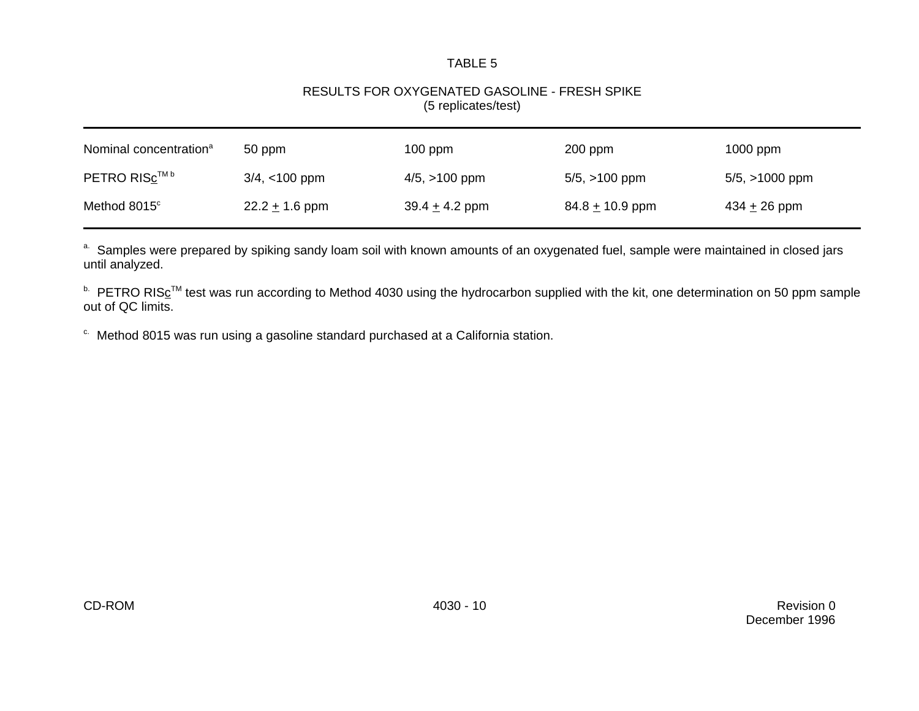## RESULTS FOR OXYGENATED GASOLINE - FRESH SPIKE (5 replicates/test)

| Nominal concentration <sup>a</sup> | 50 ppm           | $100$ ppm          | $200$ ppm           | $1000$ ppm          |
|------------------------------------|------------------|--------------------|---------------------|---------------------|
| PETRO RISc™ <sup>b</sup>           | $3/4$ , <100 ppm | $4/5$ , $>100$ ppm | $5/5$ , $>100$ ppm  | $5/5$ , $>1000$ ppm |
| Method 8015°                       | $22.2 + 1.6$ ppm | $39.4 + 4.2$ ppm   | 84.8 $\pm$ 10.9 ppm | 434 $\pm$ 26 ppm    |

a. Samples were prepared by spiking sandy loam soil with known amounts of an oxygenated fuel, sample were maintained in closed jars until analyzed.

<sup>b.</sup> PETRO RISc<sup>™</sup> test was run according to Method 4030 using the hydrocarbon supplied with the kit, one determination on 50 ppm sample out of QC limits.

<sup>c.</sup> Method 8015 was run using a gasoline standard purchased at a California station.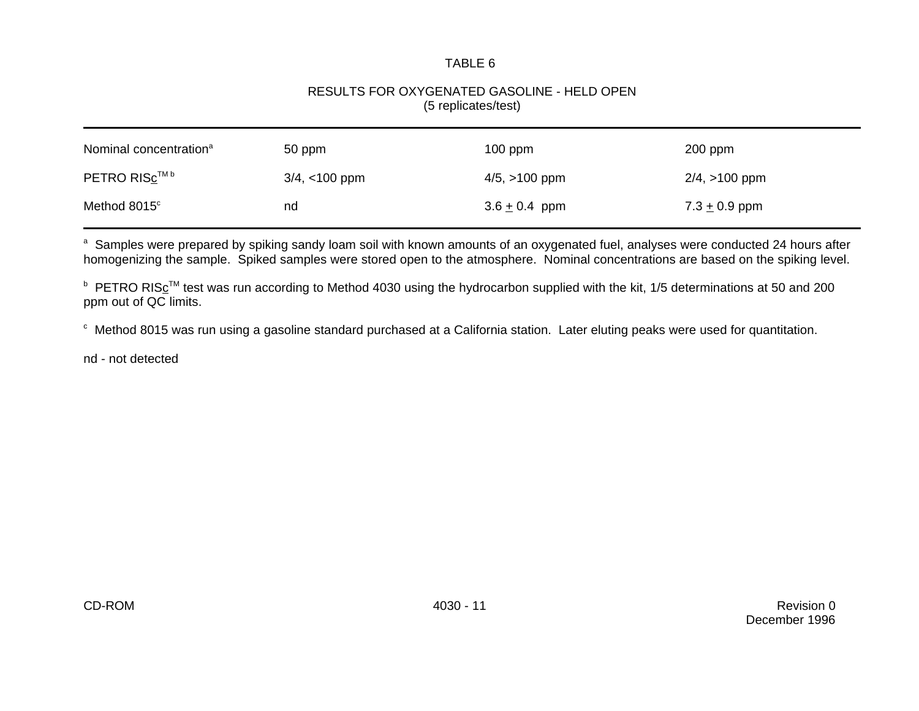#### RESULTS FOR OXYGENATED GASOLINE - HELD OPEN (5 replicates/test)

| Nominal concentration <sup>a</sup> | 50 ppm           | $100$ ppm          | $200$ ppm          |
|------------------------------------|------------------|--------------------|--------------------|
| PETRO RISC™ <sup>b</sup>           | $3/4$ , <100 ppm | $4/5$ , $>100$ ppm | $2/4$ , $>100$ ppm |
| Method 8015°                       | nd               | $3.6 \pm 0.4$ ppm  | 7.3 $\pm$ 0.9 ppm  |

<sup>a</sup> Samples were prepared by spiking sandy loam soil with known amounts of an oxygenated fuel, analyses were conducted 24 hours after homogenizing the sample. Spiked samples were stored open to the atmosphere. Nominal concentrations are based on the spiking level.

**■ PETRO RIS**<sub>c</sub><sup>™</sup> test was run according to Method 4030 using the hydrocarbon supplied with the kit, 1/5 determinations at 50 and 200 ppm out of QC limits.

c Method 8015 was run using a gasoline standard purchased at a California station. Later eluting peaks were used for quantitation.

nd - not detected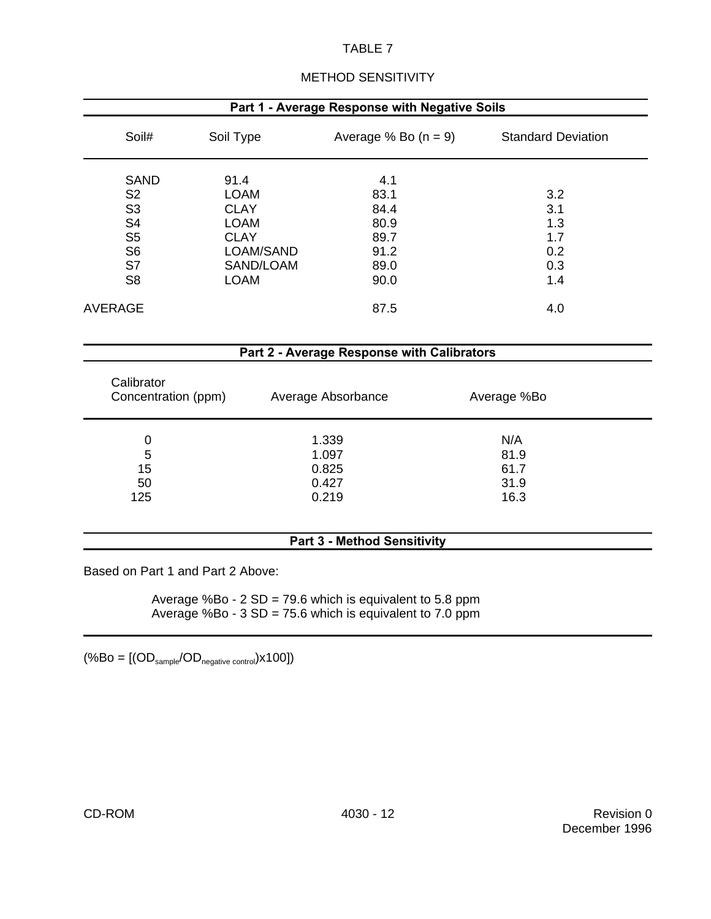| Part 1 - Average Response with Negative Soils |             |                        |                           |  |  |  |
|-----------------------------------------------|-------------|------------------------|---------------------------|--|--|--|
| Soil#                                         | Soil Type   | Average % Bo $(n = 9)$ | <b>Standard Deviation</b> |  |  |  |
| <b>SAND</b>                                   | 91.4        | 4.1                    |                           |  |  |  |
| S <sub>2</sub>                                | <b>LOAM</b> | 83.1                   | 3.2                       |  |  |  |
| S <sub>3</sub>                                | <b>CLAY</b> | 84.4                   | 3.1                       |  |  |  |
| S <sub>4</sub>                                | <b>LOAM</b> | 80.9                   | 1.3                       |  |  |  |
| S <sub>5</sub>                                | <b>CLAY</b> | 89.7                   | 1.7                       |  |  |  |
| S <sub>6</sub>                                | LOAM/SAND   | 91.2                   | 0.2                       |  |  |  |
| S7                                            | SAND/LOAM   | 89.0                   | 0.3                       |  |  |  |
| S <sub>8</sub>                                | <b>LOAM</b> | 90.0                   | 1.4                       |  |  |  |
| AVERAGE                                       |             | 87.5                   | 4.0                       |  |  |  |

#### METHOD SENSITIVITY

| Part 2 - Average Response with Calibrators |                    |             |  |  |
|--------------------------------------------|--------------------|-------------|--|--|
| Calibrator<br>Concentration (ppm)          | Average Absorbance | Average %Bo |  |  |
| 0                                          | 1.339              | N/A         |  |  |
| 5                                          | 1.097              | 81.9        |  |  |
| 15                                         | 0.825              | 61.7        |  |  |
| 50                                         | 0.427              | 31.9        |  |  |
| 125                                        | 0.219              | 16.3        |  |  |

#### **Part 3 - Method Sensitivity**

Based on Part 1 and Part 2 Above:

Average %Bo - 2 SD = 79.6 which is equivalent to 5.8 ppm Average %Bo - 3 SD = 75.6 which is equivalent to 7.0 ppm

 $(\%Bo = [(OD_{sample}/OD_{negative\ control}) \times 100])$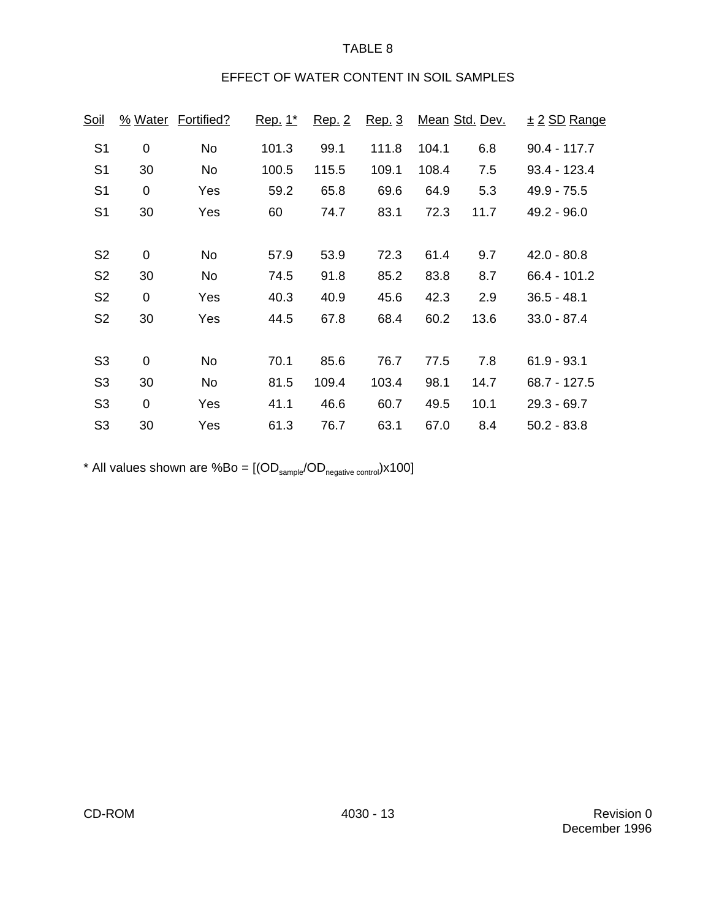## EFFECT OF WATER CONTENT IN SOIL SAMPLES

| <u>Soil</u>    |                  | % Water Fortified? | <u>Rep. 1*</u> | Rep. 2 | Rep. 3 |       | Mean Std. Dev. | $\pm$ 2 SD Range |
|----------------|------------------|--------------------|----------------|--------|--------|-------|----------------|------------------|
| S <sub>1</sub> | $\mathbf 0$      | No                 | 101.3          | 99.1   | 111.8  | 104.1 | 6.8            | $90.4 - 117.7$   |
| S <sub>1</sub> | 30               | <b>No</b>          | 100.5          | 115.5  | 109.1  | 108.4 | 7.5            | $93.4 - 123.4$   |
| S <sub>1</sub> | $\mathbf 0$      | Yes                | 59.2           | 65.8   | 69.6   | 64.9  | 5.3            | $49.9 - 75.5$    |
| S <sub>1</sub> | 30               | Yes                | 60             | 74.7   | 83.1   | 72.3  | 11.7           | $49.2 - 96.0$    |
|                |                  |                    |                |        |        |       |                |                  |
| S <sub>2</sub> | $\boldsymbol{0}$ | No                 | 57.9           | 53.9   | 72.3   | 61.4  | 9.7            | $42.0 - 80.8$    |
| S <sub>2</sub> | 30               | <b>No</b>          | 74.5           | 91.8   | 85.2   | 83.8  | 8.7            | 66.4 - 101.2     |
| S <sub>2</sub> | $\mathbf 0$      | Yes                | 40.3           | 40.9   | 45.6   | 42.3  | 2.9            | $36.5 - 48.1$    |
| S <sub>2</sub> | 30               | Yes                | 44.5           | 67.8   | 68.4   | 60.2  | 13.6           | $33.0 - 87.4$    |
|                |                  |                    |                |        |        |       |                |                  |
| S <sub>3</sub> | $\overline{0}$   | No                 | 70.1           | 85.6   | 76.7   | 77.5  | 7.8            | $61.9 - 93.1$    |
| S <sub>3</sub> | 30               | No                 | 81.5           | 109.4  | 103.4  | 98.1  | 14.7           | $68.7 - 127.5$   |
| S <sub>3</sub> | $\mathbf 0$      | Yes                | 41.1           | 46.6   | 60.7   | 49.5  | 10.1           | $29.3 - 69.7$    |
| S <sub>3</sub> | 30               | Yes                | 61.3           | 76.7   | 63.1   | 67.0  | 8.4            | $50.2 - 83.8$    |

\* All values shown are  $%Bo = [(OD_{\text{sample}}/OD_{\text{negative control}}) \times 100]$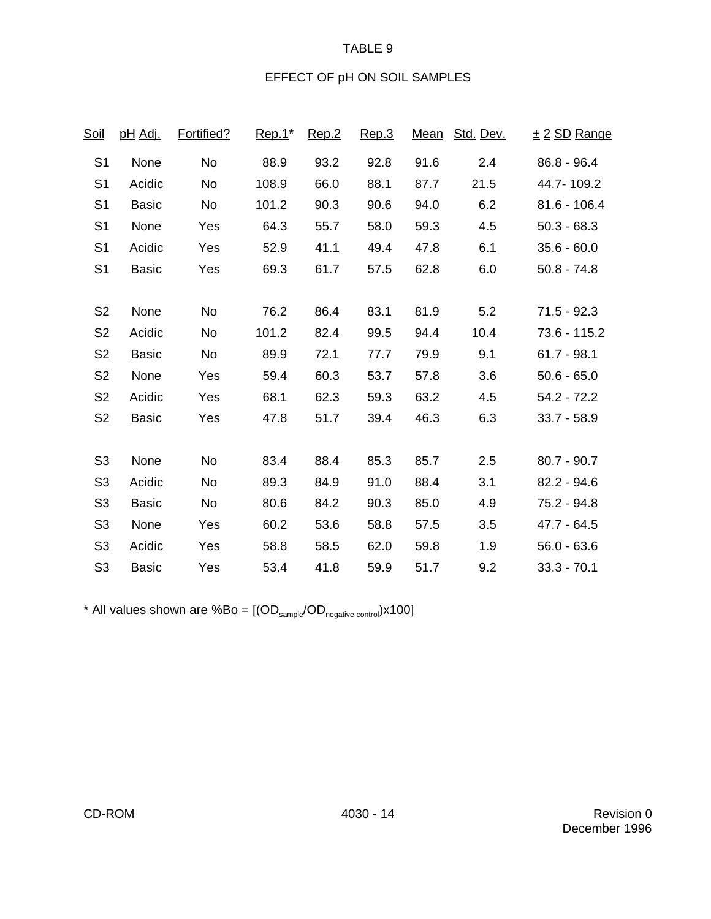## EFFECT OF pH ON SOIL SAMPLES

| <u>Soil</u>    | <u>pH Adi.</u> | Fortified? | $Rep.1^*$ | Rep.2 | Rep.3 | <u>Mean</u> | Std. Dev. | <u>± 2 SD Range</u> |
|----------------|----------------|------------|-----------|-------|-------|-------------|-----------|---------------------|
| S <sub>1</sub> | None           | No         | 88.9      | 93.2  | 92.8  | 91.6        | 2.4       | $86.8 - 96.4$       |
| S <sub>1</sub> | Acidic         | No         | 108.9     | 66.0  | 88.1  | 87.7        | 21.5      | 44.7-109.2          |
| S <sub>1</sub> | <b>Basic</b>   | No         | 101.2     | 90.3  | 90.6  | 94.0        | 6.2       | $81.6 - 106.4$      |
| S <sub>1</sub> | None           | Yes        | 64.3      | 55.7  | 58.0  | 59.3        | 4.5       | $50.3 - 68.3$       |
| S <sub>1</sub> | Acidic         | Yes        | 52.9      | 41.1  | 49.4  | 47.8        | 6.1       | $35.6 - 60.0$       |
| S <sub>1</sub> | <b>Basic</b>   | Yes        | 69.3      | 61.7  | 57.5  | 62.8        | 6.0       | $50.8 - 74.8$       |
|                |                |            |           |       |       |             |           |                     |
| S <sub>2</sub> | None           | <b>No</b>  | 76.2      | 86.4  | 83.1  | 81.9        | 5.2       | $71.5 - 92.3$       |
| S <sub>2</sub> | Acidic         | <b>No</b>  | 101.2     | 82.4  | 99.5  | 94.4        | 10.4      | 73.6 - 115.2        |
| S <sub>2</sub> | <b>Basic</b>   | No         | 89.9      | 72.1  | 77.7  | 79.9        | 9.1       | $61.7 - 98.1$       |
| S <sub>2</sub> | None           | Yes        | 59.4      | 60.3  | 53.7  | 57.8        | 3.6       | $50.6 - 65.0$       |
| S <sub>2</sub> | Acidic         | Yes        | 68.1      | 62.3  | 59.3  | 63.2        | 4.5       | $54.2 - 72.2$       |
| S <sub>2</sub> | <b>Basic</b>   | Yes        | 47.8      | 51.7  | 39.4  | 46.3        | 6.3       | $33.7 - 58.9$       |
|                |                |            |           |       |       |             |           |                     |
| S <sub>3</sub> | None           | <b>No</b>  | 83.4      | 88.4  | 85.3  | 85.7        | 2.5       | $80.7 - 90.7$       |
| S <sub>3</sub> | Acidic         | No         | 89.3      | 84.9  | 91.0  | 88.4        | 3.1       | $82.2 - 94.6$       |
| S <sub>3</sub> | <b>Basic</b>   | <b>No</b>  | 80.6      | 84.2  | 90.3  | 85.0        | 4.9       | 75.2 - 94.8         |
| S <sub>3</sub> | None           | Yes        | 60.2      | 53.6  | 58.8  | 57.5        | 3.5       | $47.7 - 64.5$       |
| S <sub>3</sub> | Acidic         | Yes        | 58.8      | 58.5  | 62.0  | 59.8        | 1.9       | $56.0 - 63.6$       |
| S <sub>3</sub> | <b>Basic</b>   | Yes        | 53.4      | 41.8  | 59.9  | 51.7        | 9.2       | $33.3 - 70.1$       |

\* All values shown are  $%Bo = [(OD_{\text{sample}}/OD_{\text{negative control}}) \times 100]$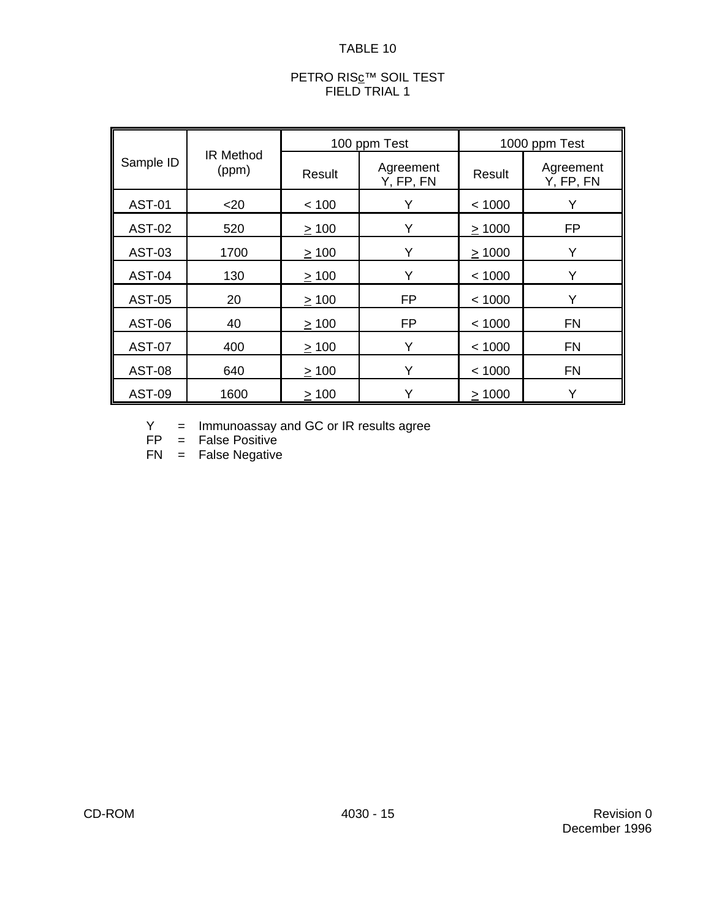#### PETRO RIS<u>c</u>™ SOIL TEST FIELD TRIAL 1

|               | <b>IR Method</b><br>(ppm) |            | 100 ppm Test           | 1000 ppm Test |                        |  |
|---------------|---------------------------|------------|------------------------|---------------|------------------------|--|
| Sample ID     |                           | Result     | Agreement<br>Y, FP, FN | Result        | Agreement<br>Y, FP, FN |  |
| <b>AST-01</b> | $20$                      | < 100      | Y                      | < 1000        | Y                      |  |
| <b>AST-02</b> | 520                       | $\geq 100$ | Y                      | $\geq 1000$   | <b>FP</b>              |  |
| <b>AST-03</b> | 1700                      | >100       | Y                      | >1000         | Y                      |  |
| <b>AST-04</b> | 130                       | $\geq 100$ | Y                      | < 1000        | Y                      |  |
| <b>AST-05</b> | 20                        | $\geq 100$ | <b>FP</b>              | < 1000        | Y                      |  |
| <b>AST-06</b> | 40                        | $\geq 100$ | <b>FP</b>              | < 1000        | <b>FN</b>              |  |
| <b>AST-07</b> | 400                       | $\geq 100$ | Y                      | < 1000        | <b>FN</b>              |  |
| <b>AST-08</b> | 640                       | $\geq 100$ | Y                      | < 1000        | <b>FN</b>              |  |
| <b>AST-09</b> | 1600                      | >100       | Y                      | >1000         | Y                      |  |

Y = Immunoassay and GC or IR results agree

FP = False Positive

FN = False Negative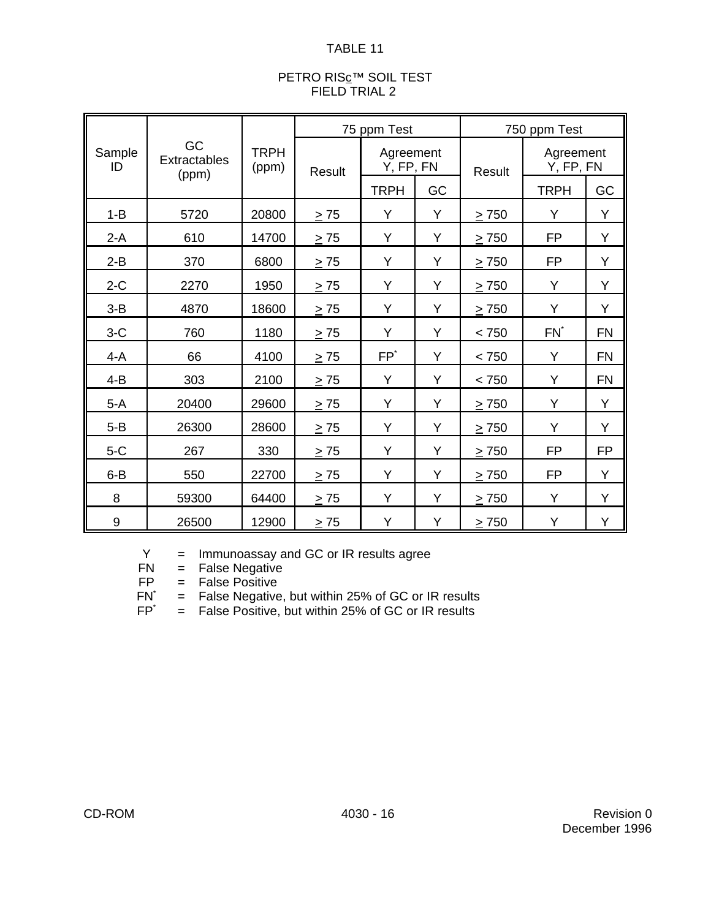#### PETRO RIS<u>c</u>™ SOIL TEST FIELD TRIAL 2

|              | GC<br>Extractables<br>(ppm) | <b>TRPH</b><br>(ppm) | 75 ppm Test   |                        |    | 750 ppm Test |                        |           |
|--------------|-----------------------------|----------------------|---------------|------------------------|----|--------------|------------------------|-----------|
| Sample<br>ID |                             |                      | <b>Result</b> | Agreement<br>Y, FP, FN |    | Result       | Agreement<br>Y, FP, FN |           |
|              |                             |                      |               | <b>TRPH</b>            | GC |              | <b>TRPH</b>            | GC        |
| $1 - B$      | 5720                        | 20800                | $\geq 75$     | Y                      | Y  | $\geq$ 750   | Y                      | Y         |
| $2-A$        | 610                         | 14700                | $\geq 75$     | Y                      | Y  | $\geq$ 750   | <b>FP</b>              | Y         |
| $2 - B$      | 370                         | 6800                 | $\geq$ 75     | Y                      | Y  | > 750        | <b>FP</b>              | Y         |
| $2-C$        | 2270                        | 1950                 | $\geq$ 75     | Y                      | Y  | > 750        | Y                      | Y         |
| $3 - B$      | 4870                        | 18600                | $\geq 75$     | Y                      | Y  | $\geq 750$   | Y                      | Y         |
| $3-C$        | 760                         | 1180                 | $\geq 75$     | Y                      | Y  | < 750        | $FN^*$                 | <b>FN</b> |
| $4-A$        | 66                          | 4100                 | $\geq 75$     | $FP^*$                 | Y  | < 750        | Y                      | <b>FN</b> |
| $4 - B$      | 303                         | 2100                 | $\geq$ 75     | Y                      | Y  | < 750        | Y                      | <b>FN</b> |
| $5-A$        | 20400                       | 29600                | $\geq$ 75     | Y                      | Y  | $\geq$ 750   | Y                      | Y         |
| $5 - B$      | 26300                       | 28600                | $\geq 75$     | Y                      | Y  | $\geq$ 750   | Y                      | Y         |
| $5-C$        | 267                         | 330                  | $\geq 75$     | Y                      | Y  | $\geq$ 750   | <b>FP</b>              | <b>FP</b> |
| $6 - B$      | 550                         | 22700                | > 75          | Y                      | Y  | > 750        | <b>FP</b>              | Y         |
| 8            | 59300                       | 64400                | > 75          | Y                      | Y  | $\geq$ 750   | Y                      | Y         |
| 9            | 26500                       | 12900                | $\geq 75$     | Y                      | Υ  | $\geq 750$   | Υ                      | Υ         |

 $Y =$  Immunoassay and GC or IR results agree<br>FN  $=$  False Negative

FN = False Negative<br>FP = False Positive

 $=$  False Positive

 $FN^*$  = False Negative, but within 25% of GC or IR results  $FP^*$  = False Positive, but within 25% of GC or IR results

 $=$  False Positive, but within 25% of GC or IR results